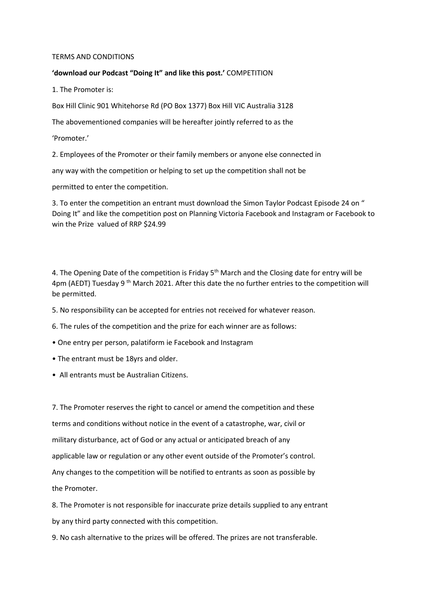## TERMS AND CONDITIONS

## **'download our Podcast "Doing It" and like this post.'** COMPETITION

1. The Promoter is:

Box Hill Clinic 901 Whitehorse Rd (PO Box 1377) Box Hill VIC Australia 3128

The abovementioned companies will be hereafter jointly referred to as the

'Promoter.'

2. Employees of the Promoter or their family members or anyone else connected in

any way with the competition or helping to set up the competition shall not be

permitted to enter the competition.

3. To enter the competition an entrant must download the Simon Taylor Podcast Episode 24 on " Doing It" and like the competition post on Planning Victoria Facebook and Instagram or Facebook to win the Prize valued of RRP \$24.99

4. The Opening Date of the competition is Friday 5<sup>th</sup> March and the Closing date for entry will be 4pm (AEDT) Tuesday 9<sup>th</sup> March 2021. After this date the no further entries to the competition will be permitted.

- 5. No responsibility can be accepted for entries not received for whatever reason.
- 6. The rules of the competition and the prize for each winner are as follows:
- One entry per person, palatiform ie Facebook and Instagram
- The entrant must be 18yrs and older.
- All entrants must be Australian Citizens.

7. The Promoter reserves the right to cancel or amend the competition and these terms and conditions without notice in the event of a catastrophe, war, civil or military disturbance, act of God or any actual or anticipated breach of any applicable law or regulation or any other event outside of the Promoter's control. Any changes to the competition will be notified to entrants as soon as possible by the Promoter.

8. The Promoter is not responsible for inaccurate prize details supplied to any entrant by any third party connected with this competition.

9. No cash alternative to the prizes will be offered. The prizes are not transferable.